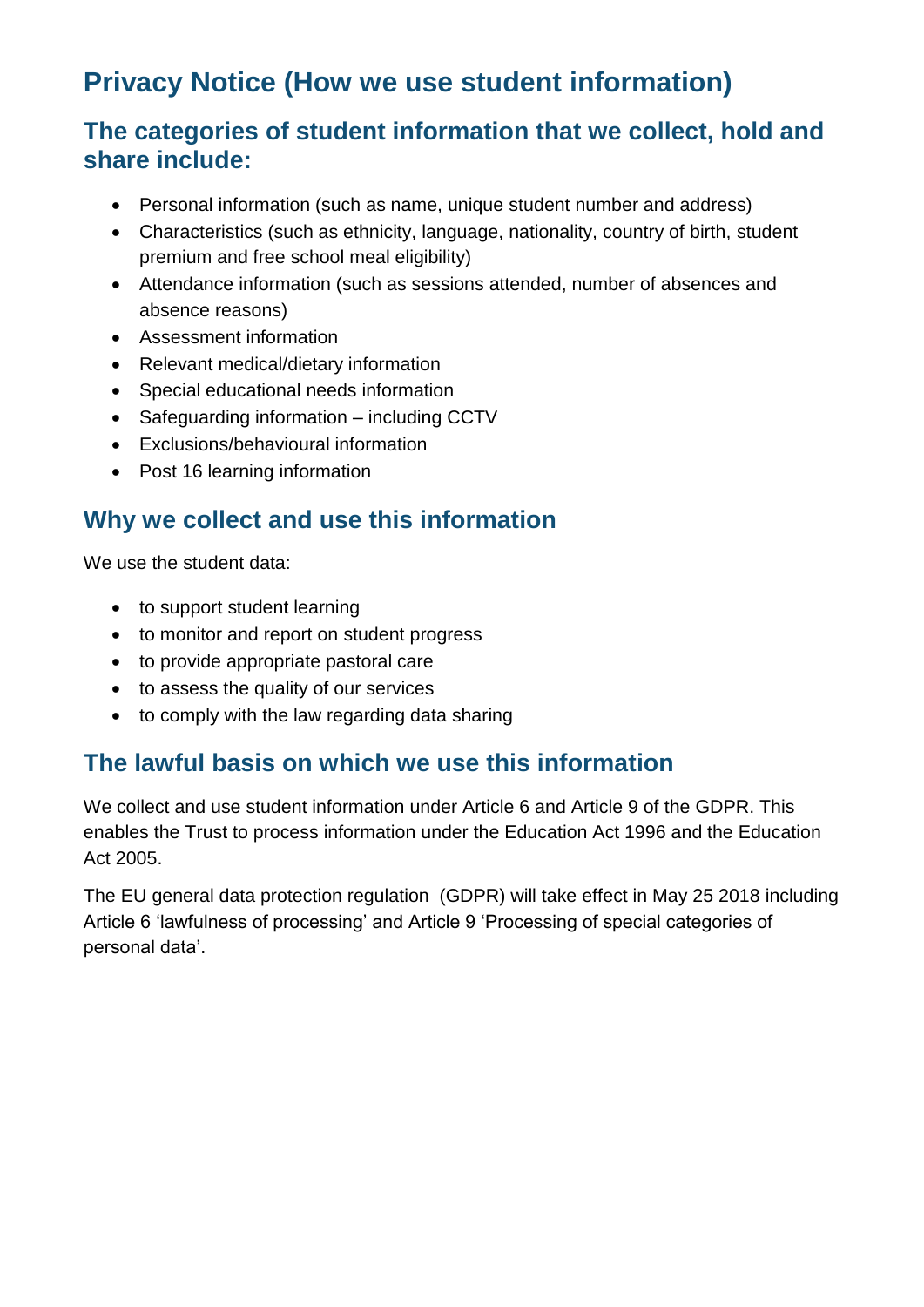# **Privacy Notice (How we use student information)**

### **The categories of student information that we collect, hold and share include:**

- Personal information (such as name, unique student number and address)
- Characteristics (such as ethnicity, language, nationality, country of birth, student premium and free school meal eligibility)
- Attendance information (such as sessions attended, number of absences and absence reasons)
- Assessment information
- Relevant medical/dietary information
- Special educational needs information
- Safeguarding information including CCTV
- Exclusions/behavioural information
- Post 16 learning information

### **Why we collect and use this information**

We use the student data:

- to support student learning
- to monitor and report on student progress
- to provide appropriate pastoral care
- to assess the quality of our services
- to comply with the law regarding data sharing

### **The lawful basis on which we use this information**

We collect and use student information under Article 6 and Article 9 of the GDPR. This enables the Trust to process information under the Education Act 1996 and the Education Act 2005.

The EU general data protection regulation (GDPR) will take effect in May 25 2018 including Article 6 'lawfulness of processing' and Article 9 'Processing of special categories of personal data'.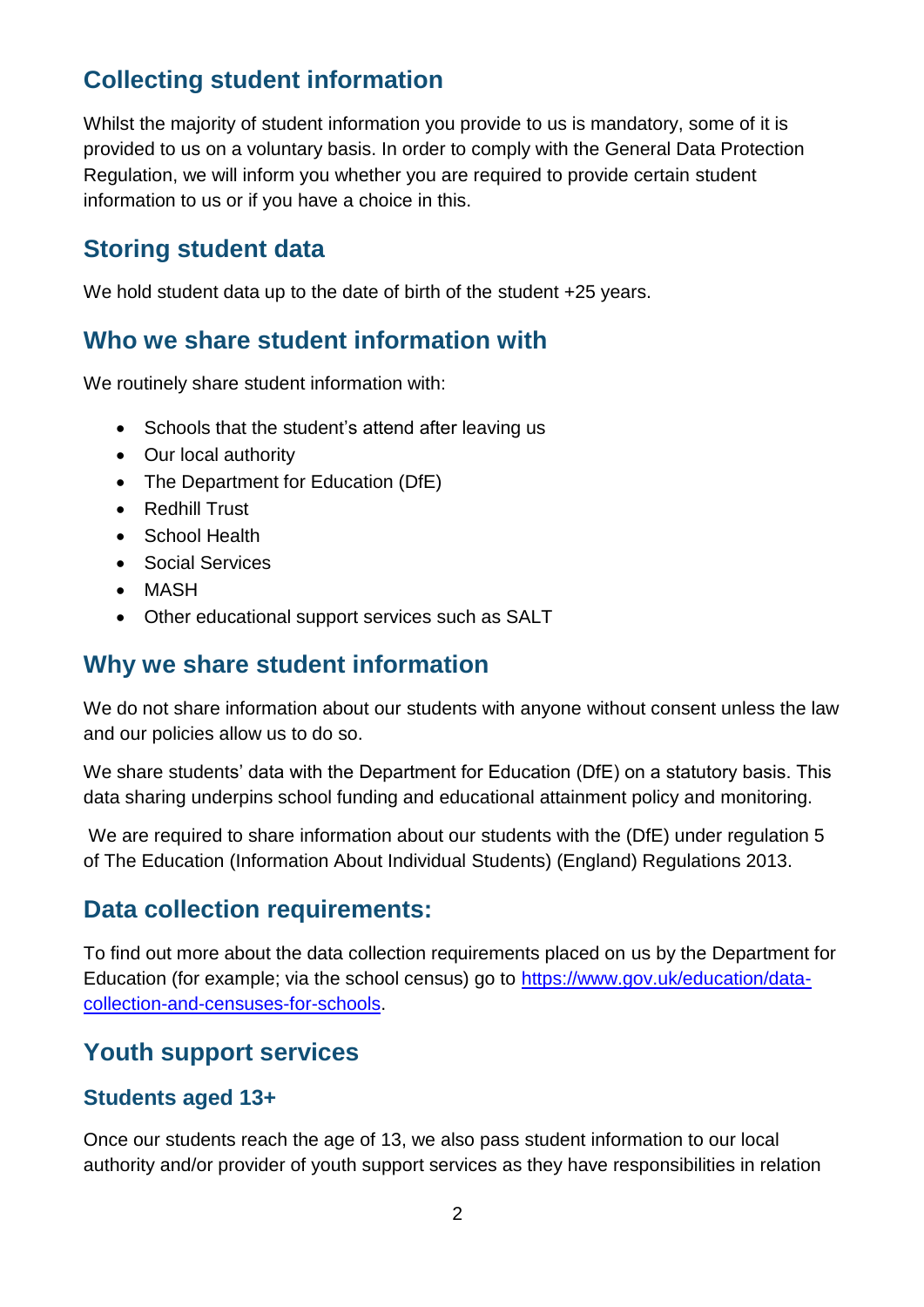## **Collecting student information**

Whilst the majority of student information you provide to us is mandatory, some of it is provided to us on a voluntary basis. In order to comply with the General Data Protection Regulation, we will inform you whether you are required to provide certain student information to us or if you have a choice in this.

#### **Storing student data**

We hold student data up to the date of birth of the student +25 years.

#### **Who we share student information with**

We routinely share student information with:

- Schools that the student's attend after leaving us
- Our local authority
- The Department for Education (DfE)
- Redhill Trust
- School Health
- Social Services
- MASH
- Other educational support services such as SALT

#### **Why we share student information**

We do not share information about our students with anyone without consent unless the law and our policies allow us to do so.

We share students' data with the Department for Education (DfE) on a statutory basis. This data sharing underpins school funding and educational attainment policy and monitoring.

We are required to share information about our students with the (DfE) under regulation 5 of The Education (Information About Individual Students) (England) Regulations 2013.

### **Data collection requirements:**

To find out more about the data collection requirements placed on us by the Department for Education (for example; via the school census) go to [https://www.gov.uk/education/data](https://www.gov.uk/education/data-collection-and-censuses-for-schools)[collection-and-censuses-for-schools.](https://www.gov.uk/education/data-collection-and-censuses-for-schools)

### **Youth support services**

#### **Students aged 13+**

Once our students reach the age of 13, we also pass student information to our local authority and/or provider of youth support services as they have responsibilities in relation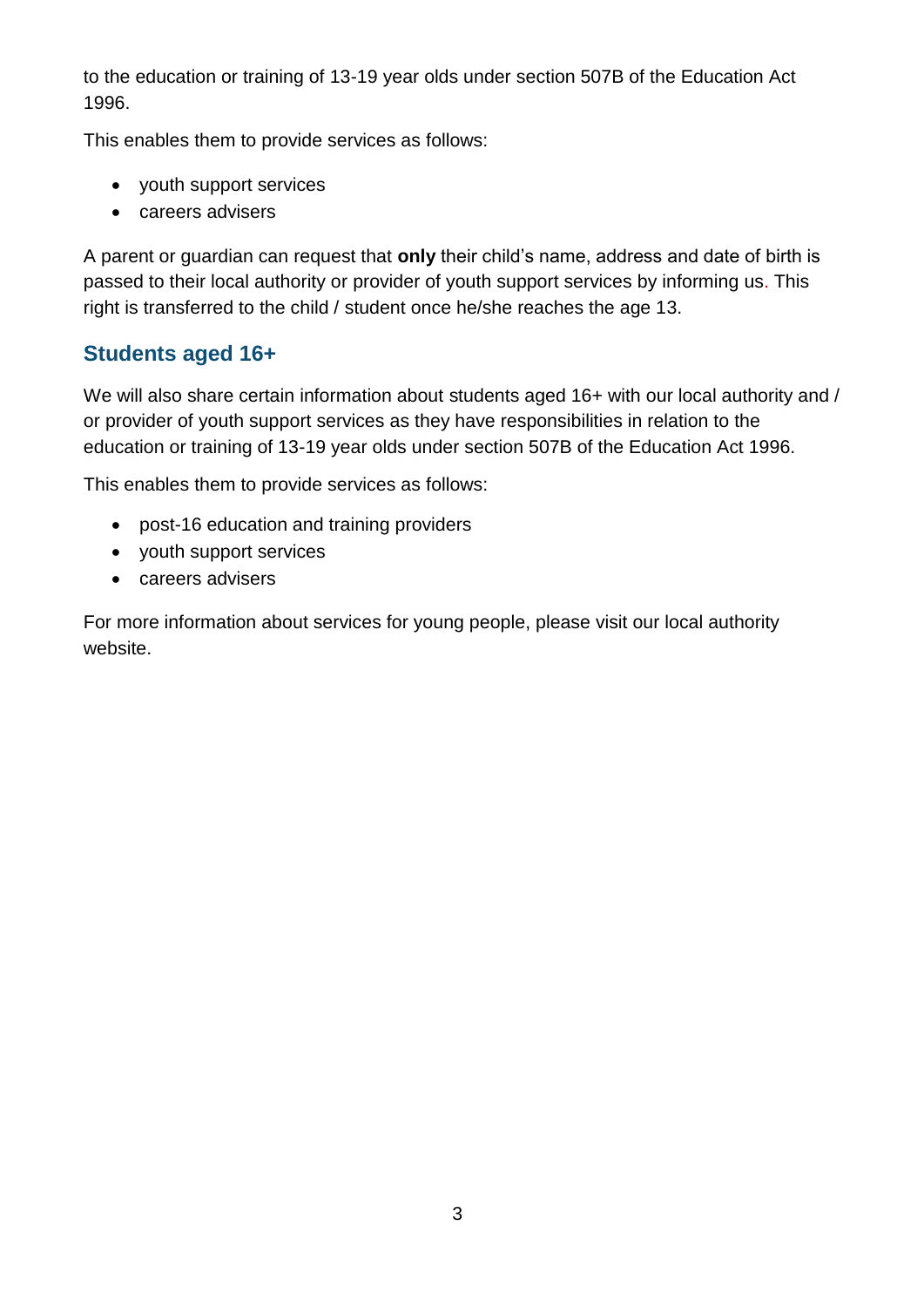to the education or training of 13-19 year olds under section 507B of the Education Act 1996.

This enables them to provide services as follows:

- youth support services
- careers advisers

A parent or guardian can request that **only** their child's name, address and date of birth is passed to their local authority or provider of youth support services by informing us. This right is transferred to the child / student once he/she reaches the age 13.

#### **Students aged 16+**

We will also share certain information about students aged 16+ with our local authority and / or provider of youth support services as they have responsibilities in relation to the education or training of 13-19 year olds under section 507B of the Education Act 1996.

This enables them to provide services as follows:

- post-16 education and training providers
- youth support services
- careers advisers

For more information about services for young people, please visit our local authority website.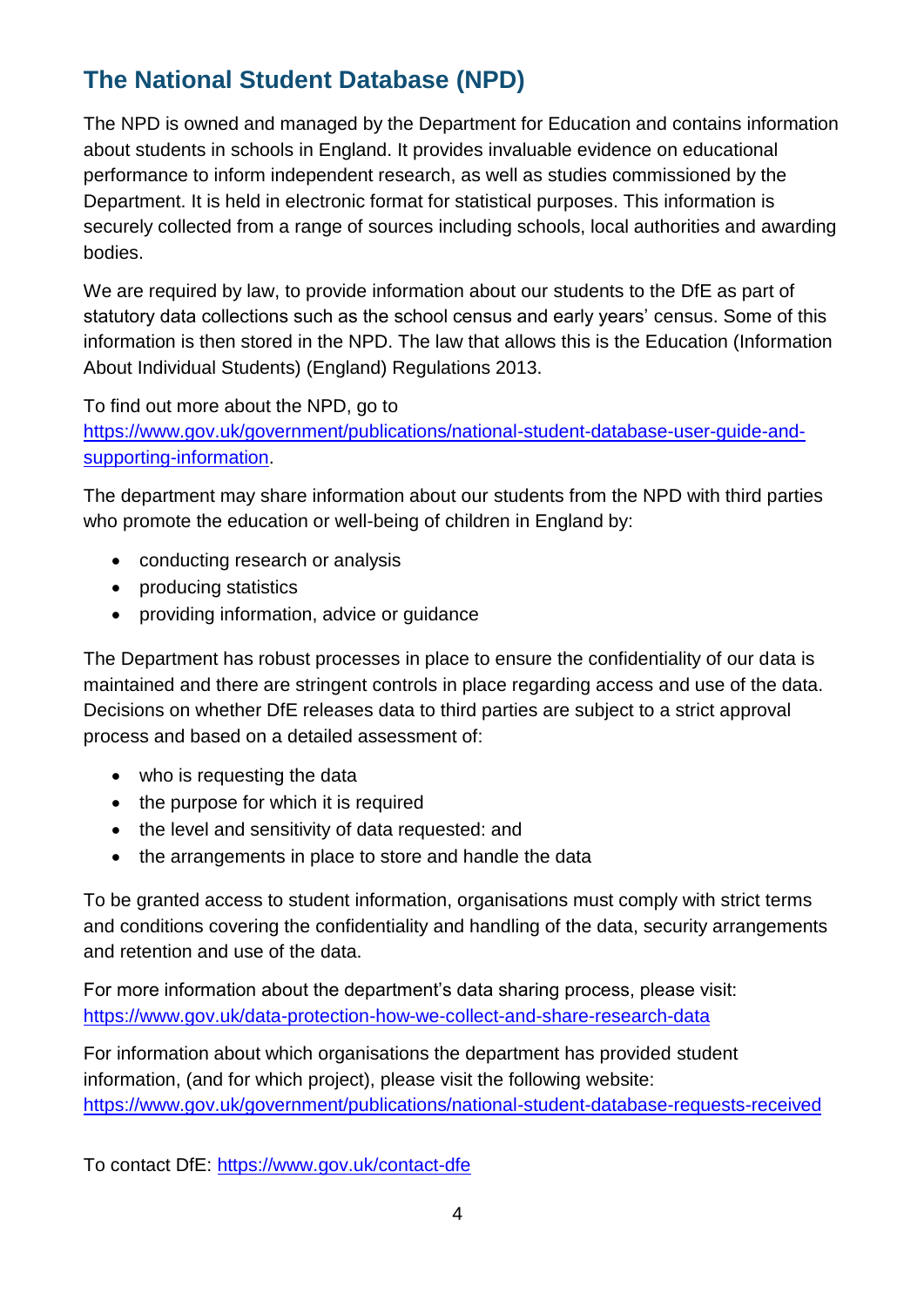# **The National Student Database (NPD)**

The NPD is owned and managed by the Department for Education and contains information about students in schools in England. It provides invaluable evidence on educational performance to inform independent research, as well as studies commissioned by the Department. It is held in electronic format for statistical purposes. This information is securely collected from a range of sources including schools, local authorities and awarding bodies.

We are required by law, to provide information about our students to the DfE as part of statutory data collections such as the school census and early years' census. Some of this information is then stored in the NPD. The law that allows this is the Education (Information About Individual Students) (England) Regulations 2013.

To find out more about the NPD, go to

[https://www.gov.uk/government/publications/national-student-database-user-guide-and](https://www.gov.uk/government/publications/national-pupil-database-user-guide-and-supporting-information)[supporting-information.](https://www.gov.uk/government/publications/national-pupil-database-user-guide-and-supporting-information)

The department may share information about our students from the NPD with third parties who promote the education or well-being of children in England by:

- conducting research or analysis
- producing statistics
- providing information, advice or guidance

The Department has robust processes in place to ensure the confidentiality of our data is maintained and there are stringent controls in place regarding access and use of the data. Decisions on whether DfE releases data to third parties are subject to a strict approval process and based on a detailed assessment of:

- who is requesting the data
- the purpose for which it is required
- the level and sensitivity of data requested: and
- the arrangements in place to store and handle the data

To be granted access to student information, organisations must comply with strict terms and conditions covering the confidentiality and handling of the data, security arrangements and retention and use of the data.

For more information about the department's data sharing process, please visit: <https://www.gov.uk/data-protection-how-we-collect-and-share-research-data>

For information about which organisations the department has provided student information, (and for which project), please visit the following website: [https://www.gov.uk/government/publications/national-student-database-requests-received](https://www.gov.uk/government/publications/national-pupil-database-requests-received)

To contact DfE:<https://www.gov.uk/contact-dfe>